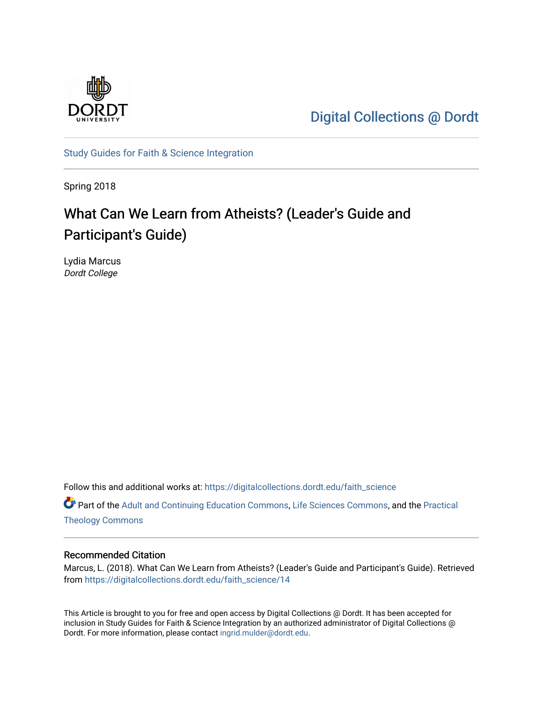

[Digital Collections @ Dordt](https://digitalcollections.dordt.edu/) 

[Study Guides for Faith & Science Integration](https://digitalcollections.dordt.edu/faith_science) 

Spring 2018

# What Can We Learn from Atheists? (Leader's Guide and Participant's Guide)

Lydia Marcus Dordt College

Follow this and additional works at: [https://digitalcollections.dordt.edu/faith\\_science](https://digitalcollections.dordt.edu/faith_science?utm_source=digitalcollections.dordt.edu%2Ffaith_science%2F14&utm_medium=PDF&utm_campaign=PDFCoverPages) 

Part of the [Adult and Continuing Education Commons,](http://network.bepress.com/hgg/discipline/1375?utm_source=digitalcollections.dordt.edu%2Ffaith_science%2F14&utm_medium=PDF&utm_campaign=PDFCoverPages) [Life Sciences Commons,](http://network.bepress.com/hgg/discipline/1016?utm_source=digitalcollections.dordt.edu%2Ffaith_science%2F14&utm_medium=PDF&utm_campaign=PDFCoverPages) and the [Practical](http://network.bepress.com/hgg/discipline/1186?utm_source=digitalcollections.dordt.edu%2Ffaith_science%2F14&utm_medium=PDF&utm_campaign=PDFCoverPages)  [Theology Commons](http://network.bepress.com/hgg/discipline/1186?utm_source=digitalcollections.dordt.edu%2Ffaith_science%2F14&utm_medium=PDF&utm_campaign=PDFCoverPages) 

#### Recommended Citation

Marcus, L. (2018). What Can We Learn from Atheists? (Leader's Guide and Participant's Guide). Retrieved from [https://digitalcollections.dordt.edu/faith\\_science/14](https://digitalcollections.dordt.edu/faith_science/14?utm_source=digitalcollections.dordt.edu%2Ffaith_science%2F14&utm_medium=PDF&utm_campaign=PDFCoverPages)

This Article is brought to you for free and open access by Digital Collections @ Dordt. It has been accepted for inclusion in Study Guides for Faith & Science Integration by an authorized administrator of Digital Collections @ Dordt. For more information, please contact [ingrid.mulder@dordt.edu.](mailto:ingrid.mulder@dordt.edu)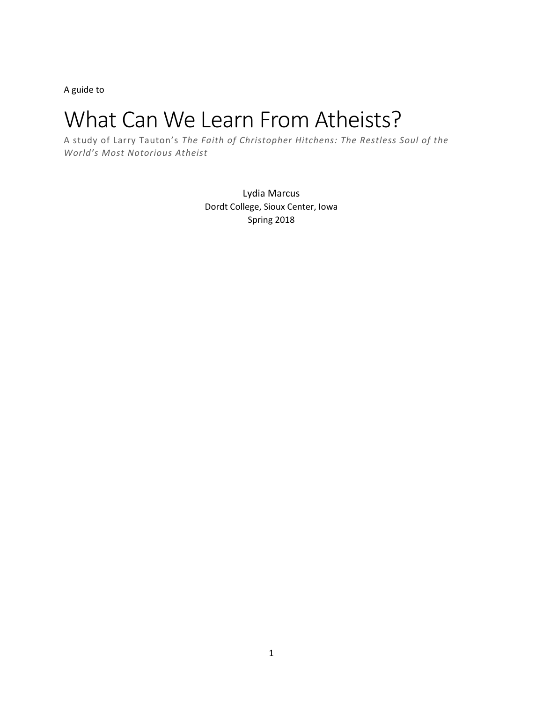A guide to

# What Can We Learn From Atheists?

A study of Larry Tauton's *The Faith of Christopher Hitchens: The Restless Soul of the World's Most Notorious Atheist*

> Lydia Marcus Dordt College, Sioux Center, Iowa Spring 2018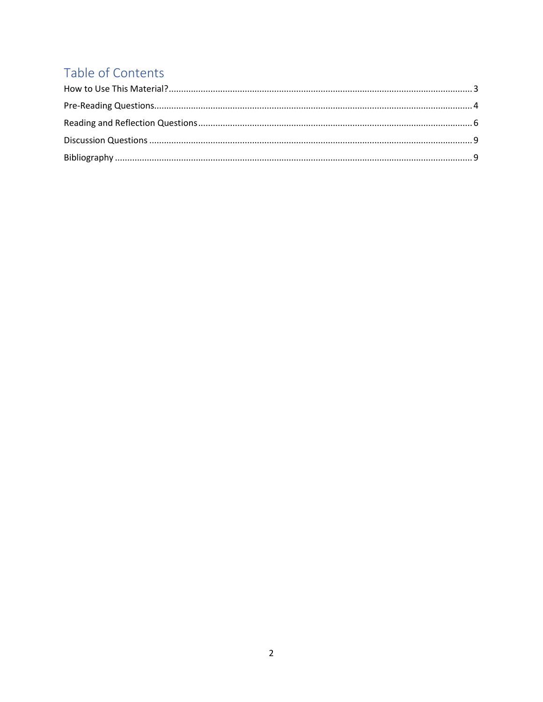# Table of Contents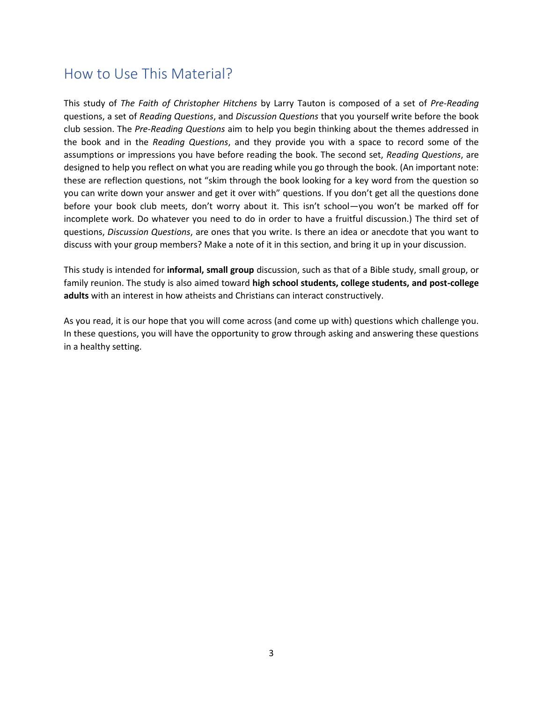### <span id="page-3-0"></span>How to Use This Material?

This study of *The Faith of Christopher Hitchens* by Larry Tauton is composed of a set of *Pre-Reading* questions, a set of *Reading Questions*, and *Discussion Questions* that you yourself write before the book club session. The *Pre-Reading Questions* aim to help you begin thinking about the themes addressed in the book and in the *Reading Questions*, and they provide you with a space to record some of the assumptions or impressions you have before reading the book. The second set, *Reading Questions*, are designed to help you reflect on what you are reading while you go through the book. (An important note: these are reflection questions, not "skim through the book looking for a key word from the question so you can write down your answer and get it over with" questions. If you don't get all the questions done before your book club meets, don't worry about it. This isn't school—you won't be marked off for incomplete work. Do whatever you need to do in order to have a fruitful discussion.) The third set of questions, *Discussion Questions*, are ones that you write. Is there an idea or anecdote that you want to discuss with your group members? Make a note of it in this section, and bring it up in your discussion.

This study is intended for **informal, small group** discussion, such as that of a Bible study, small group, or family reunion. The study is also aimed toward **high school students, college students, and post-college adults** with an interest in how atheists and Christians can interact constructively.

As you read, it is our hope that you will come across (and come up with) questions which challenge you. In these questions, you will have the opportunity to grow through asking and answering these questions in a healthy setting.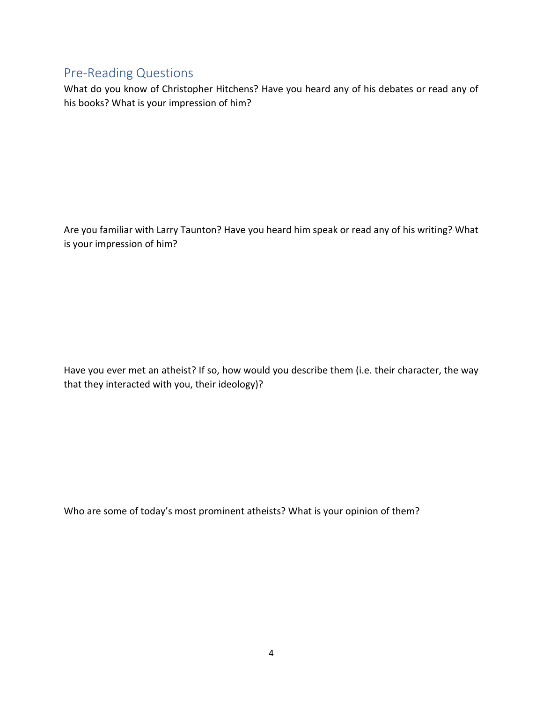#### <span id="page-4-0"></span>Pre-Reading Questions

What do you know of Christopher Hitchens? Have you heard any of his debates or read any of his books? What is your impression of him?

Are you familiar with Larry Taunton? Have you heard him speak or read any of his writing? What is your impression of him?

Have you ever met an atheist? If so, how would you describe them (i.e. their character, the way that they interacted with you, their ideology)?

Who are some of today's most prominent atheists? What is your opinion of them?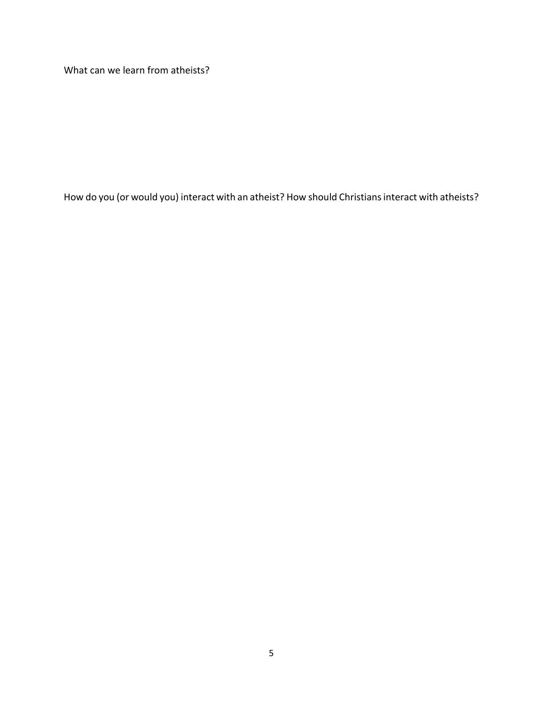What can we learn from atheists?

How do you (or would you) interact with an atheist? How should Christians interact with atheists?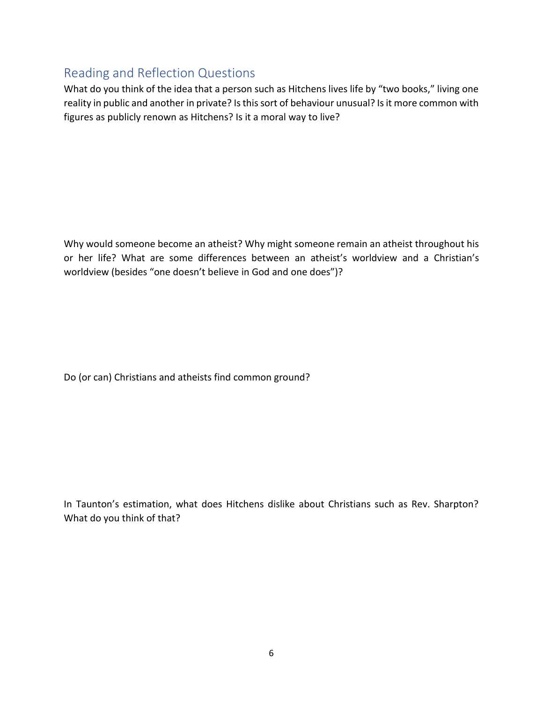#### <span id="page-6-0"></span>Reading and Reflection Questions

What do you think of the idea that a person such as Hitchens lives life by "two books," living one reality in public and another in private? Is this sort of behaviour unusual? Is it more common with figures as publicly renown as Hitchens? Is it a moral way to live?

Why would someone become an atheist? Why might someone remain an atheist throughout his or her life? What are some differences between an atheist's worldview and a Christian's worldview (besides "one doesn't believe in God and one does")?

Do (or can) Christians and atheists find common ground?

In Taunton's estimation, what does Hitchens dislike about Christians such as Rev. Sharpton? What do you think of that?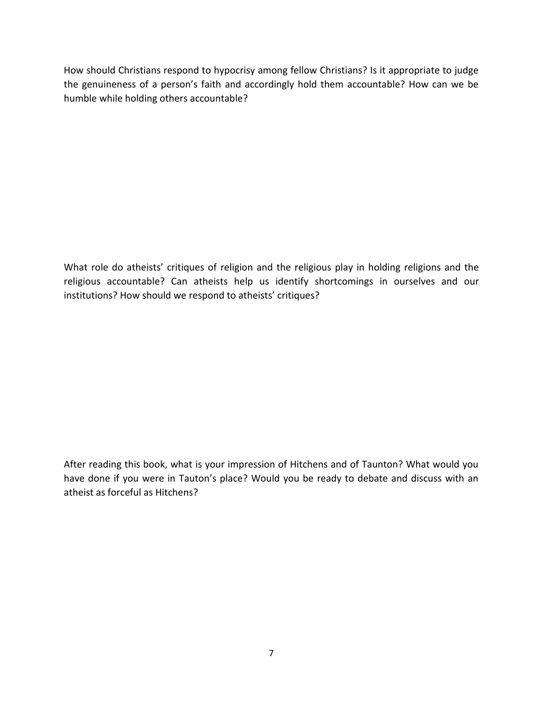How should Christians respond to hypocrisy among fellow Christians? Is it appropriate to judge the genuineness of a person's faith and accordingly hold them accountable? How can we be humble while holding others accountable?

What role do atheists' critiques of religion and the religious play in holding religions and the religious accountable? Can atheists help us identify shortcomings in ourselves and our institutions? How should we respond to atheists' critiques?

After reading this book, what is your impression of Hitchens and of Taunton? What would you have done if you were in Tauton's place? Would you be ready to debate and discuss with an atheist as forceful as Hitchens?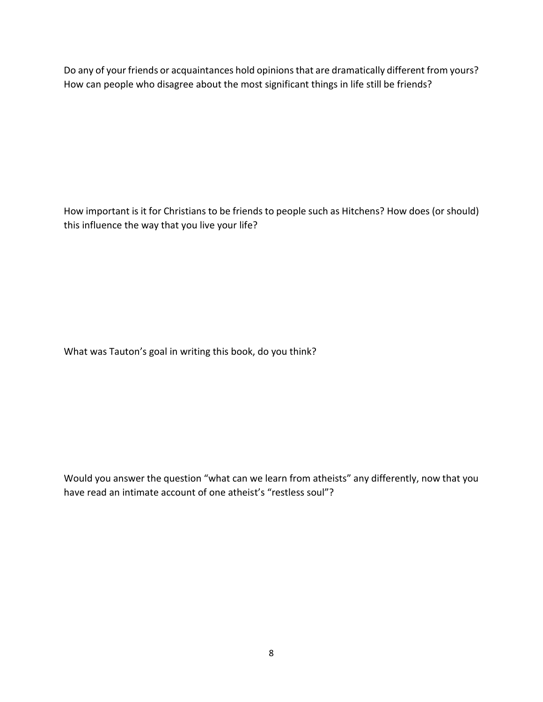Do any of your friends or acquaintances hold opinions that are dramatically different from yours? How can people who disagree about the most significant things in life still be friends?

How important is it for Christians to be friends to people such as Hitchens? How does (or should) this influence the way that you live your life?

What was Tauton's goal in writing this book, do you think?

Would you answer the question "what can we learn from atheists" any differently, now that you have read an intimate account of one atheist's "restless soul"?